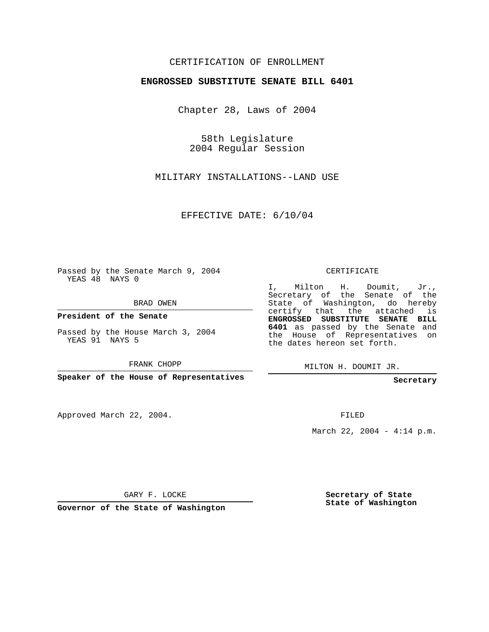## CERTIFICATION OF ENROLLMENT

## **ENGROSSED SUBSTITUTE SENATE BILL 6401**

Chapter 28, Laws of 2004

58th Legislature 2004 Regular Session

MILITARY INSTALLATIONS--LAND USE

EFFECTIVE DATE: 6/10/04

Passed by the Senate March 9, 2004 YEAS 48 NAYS 0

BRAD OWEN

**President of the Senate**

Passed by the House March 3, 2004 YEAS 91 NAYS 5

FRANK CHOPP

**Speaker of the House of Representatives**

Approved March 22, 2004.

CERTIFICATE

I, Milton H. Doumit, Jr., Secretary of the Senate of the State of Washington, do hereby certify that the attached is **ENGROSSED SUBSTITUTE SENATE BILL 6401** as passed by the Senate and the House of Representatives on the dates hereon set forth.

MILTON H. DOUMIT JR.

**Secretary**

FILED

March 22, 2004 - 4:14 p.m.

GARY F. LOCKE

**Governor of the State of Washington**

**Secretary of State State of Washington**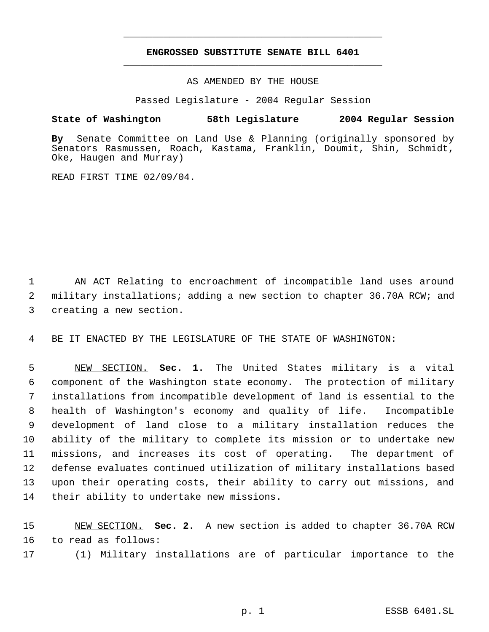## **ENGROSSED SUBSTITUTE SENATE BILL 6401** \_\_\_\_\_\_\_\_\_\_\_\_\_\_\_\_\_\_\_\_\_\_\_\_\_\_\_\_\_\_\_\_\_\_\_\_\_\_\_\_\_\_\_\_\_

\_\_\_\_\_\_\_\_\_\_\_\_\_\_\_\_\_\_\_\_\_\_\_\_\_\_\_\_\_\_\_\_\_\_\_\_\_\_\_\_\_\_\_\_\_

AS AMENDED BY THE HOUSE

Passed Legislature - 2004 Regular Session

## **State of Washington 58th Legislature 2004 Regular Session**

**By** Senate Committee on Land Use & Planning (originally sponsored by Senators Rasmussen, Roach, Kastama, Franklin, Doumit, Shin, Schmidt, Oke, Haugen and Murray)

READ FIRST TIME 02/09/04.

 AN ACT Relating to encroachment of incompatible land uses around military installations; adding a new section to chapter 36.70A RCW; and creating a new section.

BE IT ENACTED BY THE LEGISLATURE OF THE STATE OF WASHINGTON:

 NEW SECTION. **Sec. 1.** The United States military is a vital component of the Washington state economy. The protection of military installations from incompatible development of land is essential to the health of Washington's economy and quality of life. Incompatible development of land close to a military installation reduces the ability of the military to complete its mission or to undertake new missions, and increases its cost of operating. The department of defense evaluates continued utilization of military installations based upon their operating costs, their ability to carry out missions, and their ability to undertake new missions.

 NEW SECTION. **Sec. 2.** A new section is added to chapter 36.70A RCW to read as follows:

(1) Military installations are of particular importance to the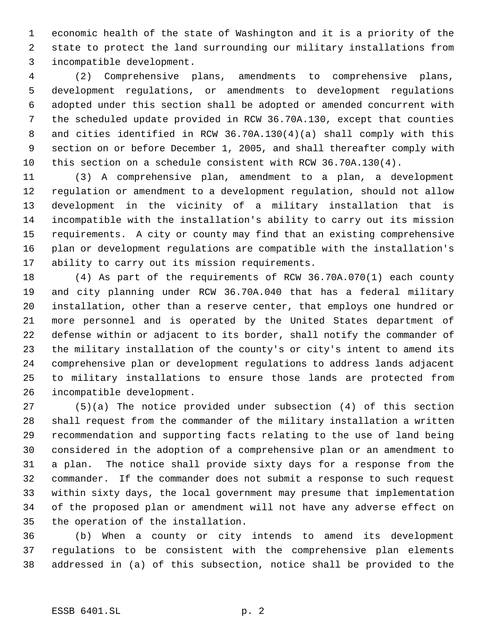economic health of the state of Washington and it is a priority of the state to protect the land surrounding our military installations from incompatible development.

 (2) Comprehensive plans, amendments to comprehensive plans, development regulations, or amendments to development regulations adopted under this section shall be adopted or amended concurrent with the scheduled update provided in RCW 36.70A.130, except that counties and cities identified in RCW 36.70A.130(4)(a) shall comply with this section on or before December 1, 2005, and shall thereafter comply with this section on a schedule consistent with RCW 36.70A.130(4).

 (3) A comprehensive plan, amendment to a plan, a development regulation or amendment to a development regulation, should not allow development in the vicinity of a military installation that is incompatible with the installation's ability to carry out its mission requirements. A city or county may find that an existing comprehensive plan or development regulations are compatible with the installation's ability to carry out its mission requirements.

 (4) As part of the requirements of RCW 36.70A.070(1) each county and city planning under RCW 36.70A.040 that has a federal military installation, other than a reserve center, that employs one hundred or more personnel and is operated by the United States department of defense within or adjacent to its border, shall notify the commander of the military installation of the county's or city's intent to amend its comprehensive plan or development regulations to address lands adjacent to military installations to ensure those lands are protected from incompatible development.

 (5)(a) The notice provided under subsection (4) of this section shall request from the commander of the military installation a written recommendation and supporting facts relating to the use of land being considered in the adoption of a comprehensive plan or an amendment to a plan. The notice shall provide sixty days for a response from the commander. If the commander does not submit a response to such request within sixty days, the local government may presume that implementation of the proposed plan or amendment will not have any adverse effect on the operation of the installation.

 (b) When a county or city intends to amend its development regulations to be consistent with the comprehensive plan elements addressed in (a) of this subsection, notice shall be provided to the